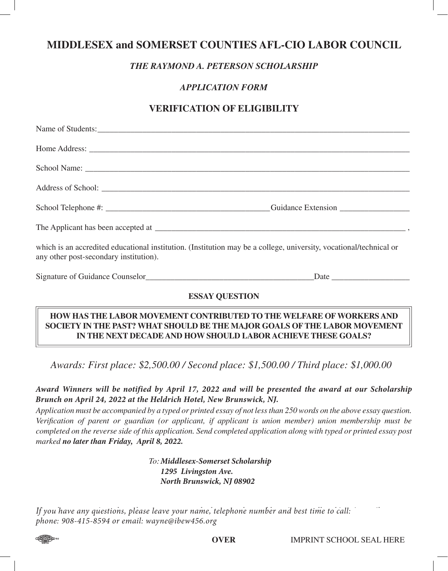# **MIDDLESEX and SOMERSET COUNTIES AFL-CIO LABOR COUNCIL**

## *THE RAYMOND A. PETERSON SCHOLARSHIP*

## *APPLICATION FORM*

## **VERIFICATION OF ELIGIBILITY**

| which is an accredited educational institution. (Institution may be a college, university, vocational/technical or<br>any other post-secondary institution). |  |
|--------------------------------------------------------------------------------------------------------------------------------------------------------------|--|
|                                                                                                                                                              |  |

#### **ESSAY QUESTION**

#### **HOW HAS THE LABOR MOVEMENT CONTRIBUTED TO THE WELFARE OFWORKERS AND SOCIETY IN THE PAST? WHAT SHOULD BE THE MAJOR GOALS OFTHE LABOR MOVEMENT IN THE NEXT DECADE AND HOW SHOULD LABOR ACHIEVE THESE GOALS?**

*Awards: First place: \$2,500.00 / Second place: \$1,500.00 / Third place: \$1,000.00* 

## Award Winners will be notified by April 17, 2022 and will be presented the award at our Scholarship Brunch on April 24, 2022 at the Heldrich Hotel, New Brunswick, NJ.

Application must be accompanied by a typed or printed essay of not less than 250 words on the above essay question. *Verification of parent or guardian (or applicant, if applicant is union member) union membership must be*  completed on the reverse side of this application. Send completed application along with typed or printed essay post *marked no later than Friday, April 12, 2019. 8, 2022.*

#### *To: Frank Burke Middlesex-Somerset Scholarship M&S CLC AFL-CIO Scholarship Committe 1295 Livingston Ave. 48 Stony Road North Brunswick, NJ 08902*

If you have any questions, please leave your name, telephone number and best time to call:  $\qquad \qquad \qquad \qquad$ *(732)-371-9296 or email to fjpburke@aol.com phone: 908-415-8594 or email: wayne@ibew456.org*